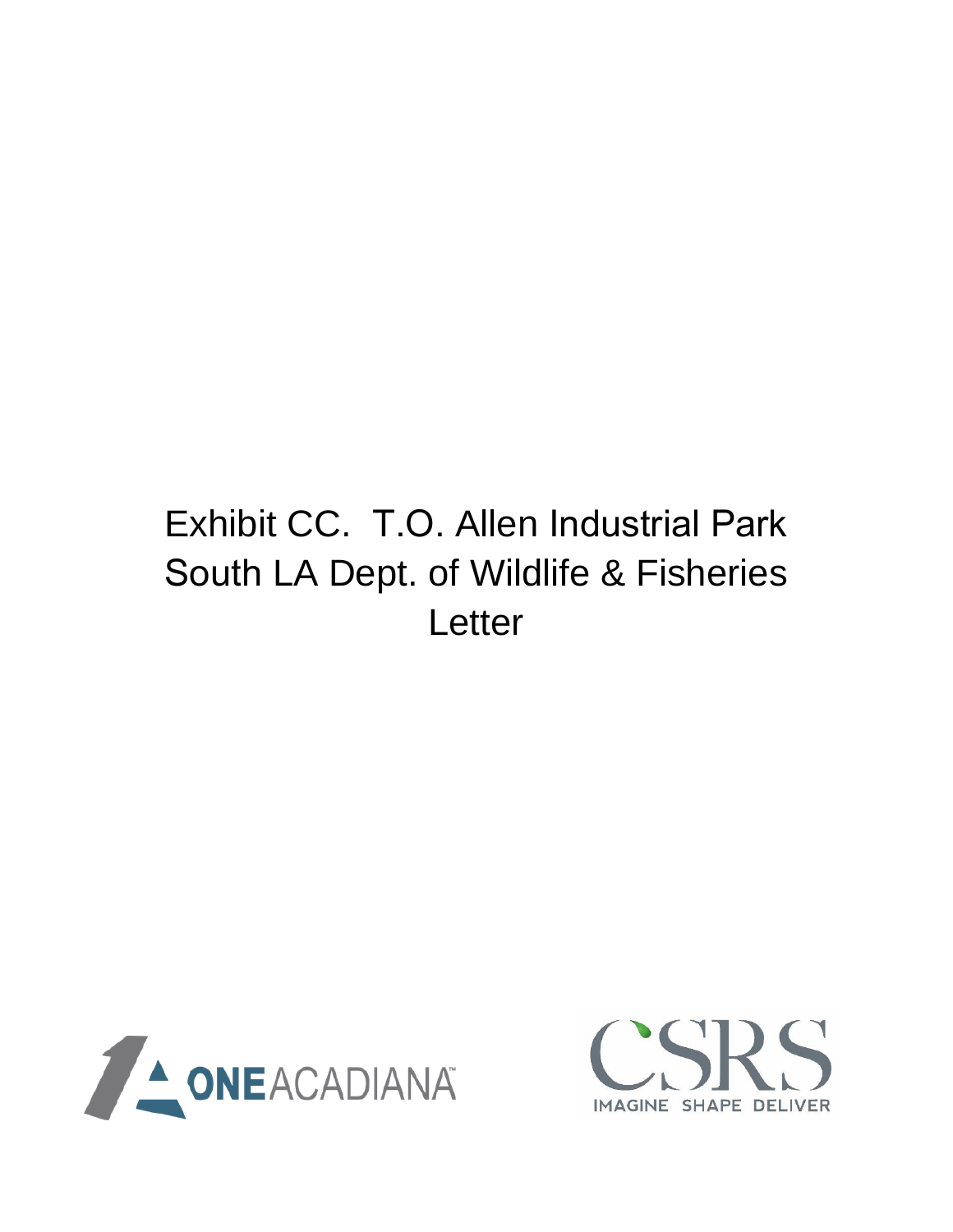## Exhibit CC. T.O. Allen Industrial Park South LA Dept. of Wildlife & Fisheries **Letter**